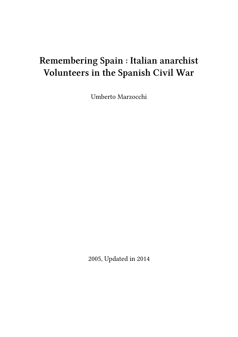# **Remembering Spain : Italian anarchist Volunteers in the Spanish Civil War**

Umberto Marzocchi

2005, Updated in 2014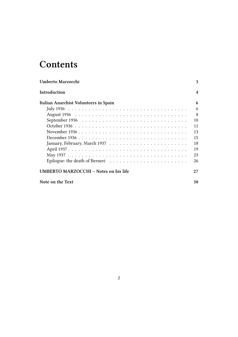## **Contents**

| Umberto Marzocchi                                                                             | 3  |
|-----------------------------------------------------------------------------------------------|----|
| Introduction                                                                                  | 4  |
| Italian Anarchist Volunteers in Spain                                                         | 6  |
|                                                                                               | 6  |
|                                                                                               | 8  |
| September 1936 $\ldots \ldots \ldots \ldots \ldots \ldots \ldots \ldots \ldots \ldots \ldots$ | 10 |
|                                                                                               | 11 |
|                                                                                               | 13 |
|                                                                                               | 15 |
|                                                                                               | 18 |
|                                                                                               | 19 |
|                                                                                               | 23 |
| Epilogue: the death of Berneri $\dots \dots \dots \dots \dots \dots \dots \dots \dots$        | 26 |
| UMBERTO MARZOCCHI – Notes on his life                                                         | 27 |
| Note on the Text                                                                              | 30 |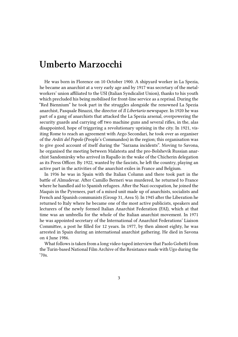### <span id="page-2-0"></span>**Umberto Marzocchi**

He was born in Florence on 10 October 1900. A shipyard worker in La Spezia, he became an anarchist at a very early age and by 1917 was secretary of the metalworkers' union affiliated to the USI (Italian Syndicalist Union), thanks to his youth which precluded his being mobilised for front-line service as a reprisal. During the "Red Biennium" he took part in the struggles alongside the renowned La Spezia anarchist, Pasquale Binazzi, the director of *Il Libertario* newspaper. In 1920 he was part of a gang of anarchists that attacked the La Spezia arsenal, overpowering the security guards and carrying off two machine guns and several rifles, in the, alas disappointed, hope of triggering a revolutionary uprising in the city. In 1921, visiting Rome to reach an agreement with Argo Secondari, he took over as organiser of the *Arditi del Popolo* (People's Commandos) in the region; this organisation was to give good account of itself during the "Sarzana incidents". Moving to Savona, he organised the meeting between Malatesta and the pro-Bolshevik Russian anarchist Sandomirsky who arrived in Rapallo in the wake of the Chicherin delegation as its Press Officer. By 1922, wanted by the fascists, he left the country, playing an active part in the activities of the anarchist exiles in France and Belgium.

In 1936 he was in Spain with the Italian Column and there took part in the battle of Almudevar. After Camillo Berneri was murdered, he returned to France where he handled aid to Spanish refugees. After the Nazi occupation, he joined the Maquis in the Pyrenees, part of a mixed unit made up of anarchists, socialists and French and Spanish communists (Group 31, Area 5). In 1945 after the Liberation he returned to Italy where he became one of the most active publicists, speakers and lecturers of the newly formed Italian Anarchist Federation (FAI), which at that time was an umbrella for the whole of the Italian anarchist movement. In 1971 he was appointed secretary of the International of Anarchist Federations' Liaison Committee, a post he filled for 12 years. In 1977, by then almost eighty, he was arrested in Spain during an international anarchist gathering. He died in Savona on 4 June 1986.

What follows is taken from a long video-taped interview that Paolo Gobetti from the Turin-based National Film Archive of the Resistance made with Ugo during the '70s.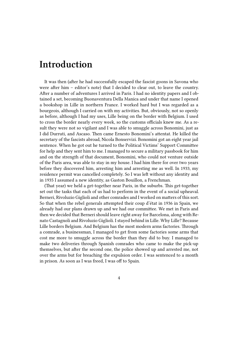### <span id="page-3-0"></span>**Introduction**

It was then (after he had successfully escaped the fascist goons in Savona who were after him – editor's note) that I decided to clear out, to leave the country. After a number of adventures I arrived in Paris. I had no identity papers and I obtained a set, becoming Buonaventura Della Manica and under that name I opened a bookshop in Lille in northern France. I worked hard but I was regarded as a bourgeois, although I carried on with my activities. But, obviously, not so openly as before, although I had my uses, Lille being on the border with Belgium. I used to cross the border nearly every week, so the customs officials knew me. As a result they were not so vigilant and I was able to smuggle across Bonomini, just as I did Durruti, and Ascaso. Then came Ernesto Bonomini's attentat. He killed the secretary of the fascists abroad, Nicola Bonservizi. Bonomini got an eight year jail sentence. When he got out he turned to the Political Victims' Support Committee for help and they sent him to me. I managed to secure a military passbook for him and on the strength of that document, Bonomini, who could not venture outside of the Paris area, was able to stay in my house. I had him there for over two years before they discovered him, arresting him and arresting me as well. In 1933, my residence permit was cancelled completely. So I was left without any identity and in 1935 I assumed a new identity, as Gaston Bouillon, a Frenchman.

(That year) we held a get-together near Paris, in the suburbs. This get-together set out the tasks that each of us had to perform in the event of a social upheaval. Berneri, Rivoluzio Giglioli and other comrades and I worked on matters of this sort. So that when the rebel generals attempted their coup d'état in 1936 in Spain, we already had our plans drawn up and we had our committee. We met in Paris and then we decided that Berneri should leave right away for Barcelona, along with Renato Castagnoli and Rivoluzio Giglioli. I stayed behind in Lille. Why Lille? Because Lille borders Belgium. And Belgium has the most modern arms factories. Through a comrade, a businessman, I managed to get from some factories some arms that cost me more to smuggle across the border than they did to buy. I managed to make two deliveries through Spanish comrades who came to make the pick-up themselves, but after the second one, the police showed up and arrested me, not over the arms but for breaching the expulsion order. I was sentenced to a month in prison. As soon as I was freed, I was off to Spain.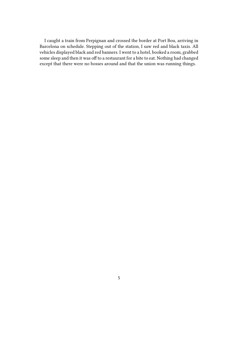I caught a train from Perpignan and crossed the border at Port Bou, arriving in Barcelona on schedule. Stepping out of the station, I saw red and black taxis. All vehicles displayed black and red banners. I went to a hotel, booked a room, grabbed some sleep and then it was off to a restaurant for a bite to eat. Nothing had changed except that there were no bosses around and that the union was running things.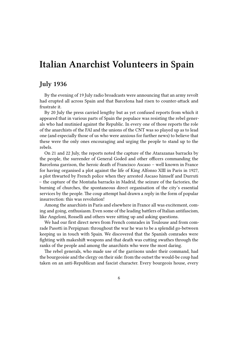### <span id="page-5-0"></span>**Italian Anarchist Volunteers in Spain**

#### <span id="page-5-1"></span>**July 1936**

By the evening of 19 July radio broadcasts were announcing that an army revolt had erupted all across Spain and that Barcelona had risen to counter-attack and frustrate it.

By 20 July the press carried lengthy but as yet confused reports from which it appeared that in various parts of Spain the populace was resisting the rebel generals who had mutinied against the Republic. In every one of those reports the role of the anarchists of the FAI and the unions of the CNT was so played up as to lead one (and especially those of us who were anxious for further news) to believe that these were the only ones encouraging and urging the people to stand up to the rebels.

On 21 and 22 July, the reports noted the capture of the Atarazanas barracks by the people, the surrender of General Goded and other officers commanding the Barcelona garrison, the heroic death of Francisco Ascaso – well known in France for having organised a plot against the life of King Alfonso XIII in Paris in 1927, a plot thwarted by French police when they arrested Ascaso himself and Durruti – the capture of the Montaña barracks in Madrid, the seizure of the factories, the burning of churches, the spontaneous direct organisation of the city's essential services by the people. The coup attempt had drawn a reply in the form of popular insurrection: this was revolution!

Among the anarchists in Paris and elsewhere in France all was excitement, coming and going, enthusiasm. Even some of the leading battlers of Italian antifascism, like Angeloni, Rosselli and others were sitting up and asking questions.

We had our first direct news from French comrades in Toulouse and from comrade Pasotti in Perpignan: throughout the war he was to be a splendid go-between keeping us in touch with Spain. We discovered that the Spanish comrades were fighting with makeshift weapons and that death was cutting swathes through the ranks of the people and among the anarchists who were the most daring.

The rebel generals, who made use of the garrisons under their command, had the bourgeoisie and the clergy on their side: from the outset the would-be coup had taken on an anti-Republican and fascist character. Every bourgeois house, every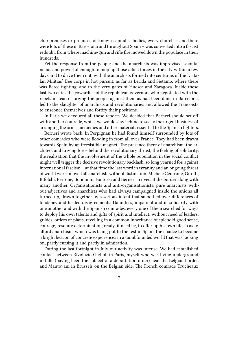club premises or premises of known capitalist bodies, every church – and there were lots of these in Barcelona and throughout Spain – was converted into a fascist redoubt, from where machine-gun and rifle fire mowed down the populace in their hundreds.

Yet the response from the people and the anarchists was improvised, spontaneous and powerful enough to mop up those allied forces in the city within a few days and to drive them out, with the anarchists formed into centurias of the 'Catalan Militias' free corps in hot pursuit, as far as Lerida and Sietamo, where there was fierce fighting, and to the very gates of Huesca and Zaragoza. Inside these last two cities the cowardice of the republican governors who negotiated with the rebels instead of urging the people against them as had been done in Barcelona, led to the slaughter of anarchists and revolutionaries and allowed the Francoists to ensconce themselves and fortify their positions.

In Paris we devoured all these reports. We decided that Berneri should set off with another comrade, whilst we would stay behind to see to the urgent business of arranging the arms, medicines and other materials essential to the Spanish fighters.

Berneri wrote back. In Perpignan he had found himself surrounded by lots of other comrades who were flooding in from all over France. They had been drawn towards Spain by an irresistible magnet. The presence there of anarchism, the architect and driving force behind the revolutionary thrust, the feeling of solidarity, the realisation that the involvement of the whole population in the social conflict might well trigger the decisive revolutionary backlash, so long yearned for, against international fascism – at that time the last word in tyranny and an ongoing threat of world war – moved all anarchists without distinction. Michele Centrone, Girotti, Bifolchi, Perrone, Bonomini, Fantozzi and Berneri arrived at the border along with many another. Organisationists and anti-organisationists, pure anarchists without adjectives and anarchists who had always campaigned inside the unions all turned up, drawn together by a serious intent that smoothed over differences of tendency and healed disagreements. Dauntless, impatient and in solidarity with one another and with the Spanish comrades, every one of them searched for ways to deploy his own talents and gifts of spirit and intellect, without need of leaders, guides, orders or plans, revelling in a common inheritance of splendid good sense, courage, resolute determination, ready, if need be, to offer up his own life so as to afford anarchism, which was being put to the test in Spain, the chance to become a bright beacon of concrete experiences in a dumbfounded world that was looking on, partly cursing it and partly in admiration.

During the last fortnight in July our activity was intense. We had established contact between Rivoluzio Giglioli in Paris, myself who was living underground in Lille (having been the subject of a deportation order) near the Belgian border, and Mantovani in Brussels on the Belgian side. The French comrade Trucheaux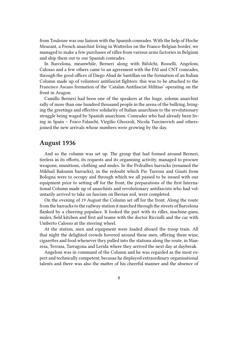from Toulouse was our liaison with the Spanish comrades. With the help of Hoche Meurant, a French anarchist living in Wattrelos on the Franco-Belgian border, we managed to make a few purchases of rifles from various arms factories in Belgium and ship them out to our Spanish comrades.

In Barcelona, meanwhile, Berneri along with Bifolchi, Rosselli, Angeloni, Calosso and a few others came to an agreement with the FAI and CNT comrades, through the good offices of Diego Abad de Santillan on the formation of an Italian Column made up of volunteer antifascist fighters: this was to be attached to the Francisco Ascaso formation of the 'Catalan Antifascist Militias' operating on the front in Aragon.

Camillo Berneri had been one of the speakers at the huge, solemn anarchist rally of more than one hundred thousand people in the arena of the bullring, bringing the greetings and effective solidarity of Italian anarchism to the revolutionary struggle being waged by Spanish anarchism. Comrades who had already been living in Spain – Fosco Falaschi, Virgilio Ghozzoli, Nicola Turcinovich and othersjoined the new arrivals whose numbers were growing by the day.

#### <span id="page-7-0"></span>**August 1936**

And so the column was set up. The group that had formed around Berneri, tireless in its efforts, its requests and its organising activity, managed to procure weapons, munitions, clothing and mules. In the Pedralbes barracks (renamed the Mikhail Bakunin barracks), in the redoubt which Pio Turroni and Giusti from Bologna were to occupy and through which we all passed to be issued with our equipment prior to setting off for the front, the preparations of the first International Column made up of anarchists and revolutionary antifascists who had voluntarily arrived to take on fascism on Iberian soil, were completed.

On the evening of 19 August the Column set off for the front. Along the route from the barracks to the railway station it marched through the streets of Barcelona flanked by a cheering populace. It looked the part with its rifles, machine-guns, mules, field kitchen and first aid teams with the doctor Ricciulli and the car with Umberto Calosso at the steering wheel.

At the station, men and equipment were loaded aboard the troop train. All that night the delighted crowds hovered around these men, offering them wine, cigarettes and food whenever they pulled into the stations along the route, in Manresa, Terrasa, Tarragona and Lerida where they arrived the next day at daybreak.

Angeloni was in command of the Column and he was regarded as the most expert and technically competent, because he displayed extraordinary organisational talents and there was also the matter of his cheerful manner and the absence of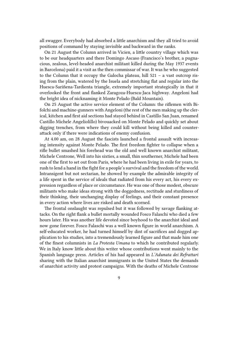all swagger. Everybody had absorbed a little anarchism and they all tried to avoid positions of command by staying invisible and backward in the ranks.

On 21 August the Column arrived in Vicien, a little country village which was to be our headquarters and there Domingo Ascaso (Francisco's brother, a pugnacious, zealous, level-headed anarchist militant killed during the May 1937 events in Barcelona) paid it a visit as the then commissar of war. It was he who suggested to the Column that it occupy the Galocha plateau, hill 521 – a vast outcrop rising from the plain, watered by the Isuela and stretching flat and regular into the Huesca-Sariñena-Tardienta triangle, extremely important strategically in that it overlooked the front and flanked Zaragoza-Huesca-Jaca highway. Angeloni had the bright idea of nicknaming it Monte Pelado (Bald Mountain).

On 25 August the active service element of the Column: the riflemen with Bifolchi and machine-gunners with Angeloni (the rest of the men making up the clerical, kitchen and first aid sections had stayed behind in Castillo San Juan, renamed Castillo Michele Angeliolillo) bivouacked on Monte Pelado and quickly set about digging trenches, from where they could kill without being killed and counterattack only if there were indications of enemy confusion.

At 4.00 am, on 28 August the fascists launched a frontal assault with increasing intensity against Monte Pelado. The first freedom fighter to collapse when a rifle bullet smashed his forehead was the old and well known anarchist militant, Michele Centrone, Well into his sixties, a small, thin southerner, Michele had been one of the first to set out from Paris, where he had been living in exile for years, to rush to lend a hand in the fight for a people's survival and the freedom of the world. Intransigent but not sectarian, he showed by example the admirable integrity of a life spent in the service of ideals that radiated from his every act, his every expression regardless of place or circumstance. He was one of those modest, obscure militants who make ideas strong with the doggedness, rectitude and sturdiness of their thinking, their unchanging display of feelings, and their constant presence in every action where lives are risked and death scorned.

The frontal onslaught was repulsed but it was followed by savage flanking attacks. On the right flank a bullet mortally wounded Fosco Falaschi who died a few hours later. His was another life devoted since boyhood to the anarchist ideal and now gone forever. Fosco Falaschi was a well known figure in world anarchism. A self-educated worker, he had turned himself by dint of sacrifices and dogged application to his studies, into a tremendously learned figure and that made him one of the finest columnists in *La Protesta Umana* to which he contributed regularly. We in Italy know little about this writer whose contributions went mainly to the Spanish language press. Articles of his had appeared in *L'Adunata dei Refrattari* sharing with the Italian anarchist immigrants in the United States the demands of anarchist activity and protest campaigns. With the deaths of Michele Centrone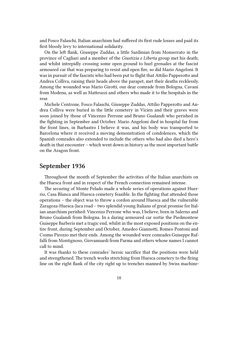and Fosco Falaschi, Italian anarchism had suffered its first rude losses and paid its first bloody levy to international solidarity.

On the left flank, Giuseppe Zuddas, a little Sardinian from Monserrato in the province of Cagliari and a member of the *Giustizia e Liberta* group met his death; and whilst intrepidly crossing some open ground to hurl grenades at the fascist armoured car that was preparing to resist and open fire, so did Mario Angeloni. It was in pursuit of the fascists who had been put to flight that Attilio Papperotto and Andrea Colliva, raising their heads above the parapet, met their deaths recklessly. Among the wounded was Mario Girotti, our dear comrade from Bologna, Cavani from Modena, as well as Matteuzzi and others who made it to the hospitals in the rear.

Michele Centrone, Fosco Falaschi, Giuseppe Zuddas, Attilio Papperotto and Andrea Colliva were buried in the little cemetery in Vicien and their graves were soon joined by those of Vincenzo Perrone and Bruno Gualandi who perished in the fighting in September and October. Mario Angeloni died in hospital far from the front lines, in Barbastro I believe it was, and his body was transported to Barcelona where it received a moving demonstration of condolences, which the Spanish comrades also extended to include the others who had also died a hero's death in that encounter – which went down in history as the most important battle on the Aragon front.

#### <span id="page-9-0"></span>**September 1936**

Throughout the month of September the activities of the Italian anarchists on the Huesca front and in respect of the French connection remained intense.

The securing of Monte Pelado made a whole series of operations against Huerrio, Casa Blanca and Huesca cemetery feasible. In the fighting that attended those operations – the object was to throw a cordon around Huesca and the vulnerable Zaragoza-Huesca-Jaca road – two splendid young Italians of great promise for Italian anarchism perished: Vincenzo Perrone who was, I believe, born in Salerno and Bruno Gualandi from Bologna. In a daring armoured car sortie the Piedmontese Guiseppe Barberis met a tragic end, whilst in the most exposed positions on the entire front, during September and October, Amedeo Giannotti, Romeo Pontoni and Cosmo Pirozzo met their ends. Among the wounded were comrades Guiseppe Raffalli from Montignoso, Giovannardi from Parma and others whose names I cannot call to mind.

It was thanks to these comrades' heroic sacrifice that the positions were held and strengthened. The trench works stretching from Huesca cemetery to the firing line on the right flank of the city right up to trenches manned by Swiss machine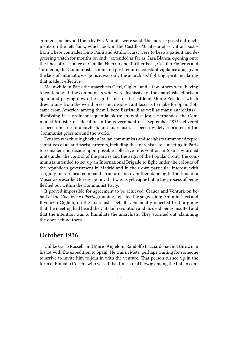gunners and beyond them by POUM units, were solid. The more exposed entrenchments on the left flank, which took in the Castillo Malatesta observation post – from where comrades Dino Paini and Attilio Scarsi were to keep a patient and depressing watch for months on end – extended as far as Casa Blanca, opening onto the lines of resistance at Cimilla, Huerrio and, further back, Castillo Figueras and Tardienta, the Communists' command post required constant vigilance and, given the lack of automatic weapons it was only the anarchists' fighting spirit and daring that made it effective.

Meanwhile in Paris the anarchists Cieri, Giglioli and a few others were having to contend with the communists who were dismissive of the anarchists' efforts in Spain and playing down the significance of the battle of Monte Pelado – which drew praise from the world press and inspired antifascists to make for Spain (lots came from America, among them Libero Battistelli as well as many anarchists) – dismissing it as an inconsequential skirmish, whilst Jesus Hernandez, the Communist Minister of education in the government of 4 September 1936 delivered a speech hostile to anarchists and anarchism, a speech widely reprinted in the Communist press around the world.

Tension was thus high when Italian communists and socialists summoned representatives of all antifascist currents, including the anarchists, to a meeting in Paris to consider and decide upon possible collective intervention in Spain by armed units under the control of the parties and the aegis of the Popular Front. The communists intended to set up an International Brigade to fight under the colours of the republican government in Madrid and in their own particular interest, with a rigidly hierarchical command structure and even then dancing to the tune of a Moscow-prescribed foreign policy that was as yet vague but in the process of being fleshed out within the Communist Party.

It proved impossible for agreement to be achieved. Cianca and Venturi, on behalf of the *Giustizia e Liberta* grouping, rejected the suggestion; Antonio Cieri and Rivoluzio Giglioli, on the anarchists' behalf, vehemently objected to it, arguing that the meeting had heard the Catalan revolution and its dead being insulted and that the intention was to humiliate the anarchists. They stormed out, slamming the door behind them.

#### <span id="page-10-0"></span>**October 1936**

Unlike Carlo Rosselli and Mario Angeloni, Randolfo Pacciardi had not thrown in his lot with the expedition to Spain. He was in Metz, perhaps waiting for someone to arrive to invite him to join in with the venture. That person turned up in the form of Romano Cocchi, who was at that time a real bigwig among the Italian com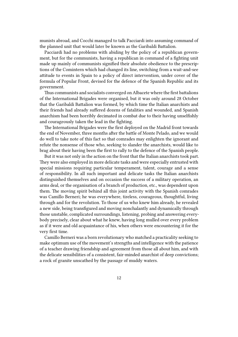munists abroad, and Cocchi managed to talk Pacciardi into assuming command of the planned unit that would later be known as the Garibaldi Battalion.

Pacciardi had no problems with abiding by the policy of a republican government, but for the communists, having a republican in command of a fighting unit made up mainly of communists signified their absolute obedience to the prescriptions of the Comintern which had changed its line, switching from a wait-and-see attitude to events in Spain to a policy of direct intervention, under cover of the formula of Popular Front, devised for the defence of the Spanish Republic and its government.

Thus communists and socialists converged on Albacete where the first battalions of the International Brigades were organised, but it was only around 28 October that the Garibaldi Battalion was formed, by which time the Italian anarchists and their friends had already suffered dozens of fatalities and wounded, and Spanish anarchism had been horribly decimated in combat due to their having unselfishly and courageously taken the lead in the fighting.

The International Brigades were the first deployed on the Madrid front towards the end of November, three months after the battle of Monte Pelado, and we would do well to take note of this fact so that comrades may enlighten the ignorant and refute the nonsense of those who, seeking to slander the anarchists, would like to brag about their having been the first to rally to the defence of the Spanish people.

But it was not only in the action on the front that the Italian anarchists took part. They were also employed in more delicate tasks and were especially entrusted with special missions requiring particular temperament, talent, courage and a sense of responsibility. In all such important and delicate tasks the Italian anarchists distinguished themselves and on occasion the success of a military operation, an arms deal, or the organisation of a branch of production, etc., was dependent upon them. The moving spirit behind all this joint activity with the Spanish comrades was Camillo Berneri; he was everywhere, tireless, courageous, thoughtful, living through and for the revolution. To those of us who knew him already, he revealed a new side, being transfigured and moving nonchalantly and dynamically through those unstable, complicated surroundings, listening, probing and answering everybody precisely, clear about what he knew, having long mulled over every problem as if it were and old acquaintance of his, when others were encountering it for the very first time.

Camillo Berneri was a born revolutionary who matched a practicality seeking to make optimum use of the movement's strengths and intelligence with the patience of a teacher drawing friendship and agreement from those all about him, and with the delicate sensibilities of a consistent, fair-minded anarchist of deep convictions; a rock of granite unscathed by the passage of muddy waters.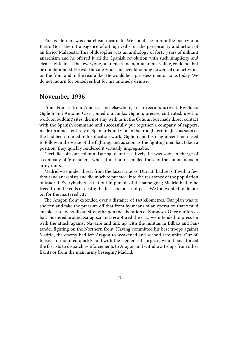For us, Berneri was anarchism incarnate. We could see in him the poetry of a Pietro Gori, the intransigence of a Luigi Galleani, the perspicacity and action of an Errico Malatesta. This philosopher was an anthology of forty years of militant anarchism and he offered it all the Spanish revolution with such simplicity and clear-sightedness that everyone, anarchists and non-anarchists alike, could not but be dumbfounded. He was the safe guide and ever blooming flowers of our activities on the front and in the rear alike. He would be a priceless mentor to us today. We do not mourn for ourselves but for his untimely demise.

#### <span id="page-12-0"></span>**November 1936**

From France, from America and elsewhere, fresh recruits arrived. Rivoluzio Giglioli and Antonio Cieri joined our ranks. Giglioli, precise, cultivated, used to work on building sites, did not stay with us in the Column but made direct contact with the Spanish command and successfully put together a company of sappers, made up almost entirely of Spaniards and vital in that rough terrain. Just as soon as the had been trained in fortification work, Giglioli and his magnificent men used to follow in the wake of the fighting, and as soon as the fighting men had taken a position, they quickly rendered it virtually impregnable.

Cieri did join our column. Daring, dauntless, lively, he was soon in charge of a company of 'grenadiers' whose function resembled those of the commandos in army units.

Madrid was under threat from the fascist noose. Durruti had set off with a few thousand anarchists and did much to put steel into the resistance of the population of Madrid. Everybody was flat out in pursuit of the same goal; Madrid had to be freed from the coils of death; the fascists must not pass. We too wanted to do our bit for the martyred city.

The Aragon front extended over a distance of 140 kilometres. Our plan was to shorten and take the pressure off that front by means of an operation that would enable us to focus all our strength upon the liberation of Zaragoza. Once our forces had mustered around Zaragoza and recaptured the city, we intended to press on with the attack against Navarre and link up with the militias in Bilbao and Santander fighting on the Northern front. Having committed his best troops against Madrid, the enemy had left Aragon to weakened and second rate units. Our offensive, if mounted quickly and with the element of surprise, would have forced the fascists to dispatch reinforcements to Aragon and withdraw troops from other fronts or from the main army besieging Madrid.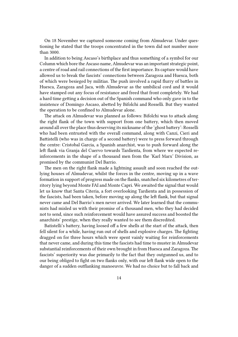On 18 November we captured someone coming from Almudevar. Under questioning he stated that the troops concentrated in the town did not number more than 3000.

In addition to being Ascaso's birthplace and thus something of a symbol for our Column which bore the Ascaso name, Almudevar was an important strategic point, a centre of road and rail connections of the first importance. Its capture would have allowed us to break the fascists' connections between Zaragoza and Huesca, both of which were besieged by militias. The push involved a rapid flurry of battles in Huesca, Zaragoza and Jaca, with Almudevar as the umbilical cord and it would have stamped out any focus of resistance and freed that front completely. We had a hard time getting a decision out of the Spanish command who only gave in to the insistence of Domingo Ascaso, abetted by Bifolchi and Rosselli. But they wanted the operation to be confined to Almudevar alone.

The attack on Almudevar was planned as follows: Bifolchi was to attack along the right flank of the town with support from one battery, which then moved around all over the place thus deserving its nickname of the 'ghost battery': Rosselli who had been entrusted with the overall command, along with Canzi, Cieri and Battistelli (who was in charge of a second battery) were to press forward through the centre: Cristobal Garcia, a Spanish anarchist, was to push forward along the left flank via Granja del Cuervo towards Tardienta, from where we expected reinforcements in the shape of a thousand men from the 'Karl Marx' Division, as promised by the communist Del Barrio.

The men on the right flank made a lightning assault and soon reached the outlying houses of Almudevar, whilst the forces in the centre, moving up in a wave formation in support of progress made on the flanks, snatched six kilometres of territory lying beyond Monte FAI and Monte Capri. We awaited the signal that would let us know that Santa Citeria, a fort overlooking Tardienta and in possession of the fascists, had been taken, before moving up along the left flank, but that signal never came and Del Barrio's men never arrived. We later learned that the communists had misled us with their promise of a thousand men, who they had decided not to send, since such reinforcement would have assured success and boosted the anarchists' prestige, when they really wanted to see them discredited.

Batistelli's battery, having loosed off a few shells at the start of the attack, then fell silent for a while, having run out of shells and explosive charges. The fighting dragged on for three hours which were spent vainly waiting for reinforcements that never came, and during this time the fascists had time to muster in Almudevar substantial reinforcements of their own brought in from Huesca and Zaragoza. The fascists' superiority was due primarily to the fact that they outgunned us, and to our being obliged to fight on two flanks only, with our left flank wide open to the danger of a sudden outflanking manoeuvre. We had no choice but to fall back and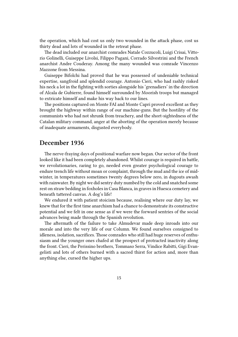the operation, which had cost us only two wounded in the attack phase, cost us thirty dead and lots of wounded in the retreat phase.

The dead included our anarchist comrades Natale Cozzucoli, Luigi Crisai, Vittorio Golinelli, Guiseppe Livolsi, Filippo Pagani, Corrado Silvestrini and the French anarchist Andre Couderay. Among the many wounded was comrade Vincenzo Mazzone from Messina.

Guiseppe Bifolchi had proved that he was possessed of undeniable technical expertise, sangfroid and splendid courage. Antonio Cieri, who had rashly risked his neck a lot in the fighting with sorties alongside his 'grenadiers' in the direction of Alcala de Gubierre, found himself surrounded by Moorish troops but managed to extricate himself and make his way back to our lines.

The positions captured on Monte FAI and Monte Capri proved excellent as they brought the highway within range of our machine-guns. But the hostility of the communists who had not shrunk from treachery, and the short-sightedness of the Catalan military command, anger at the aborting of the operation merely because of inadequate armaments, disgusted everybody.

#### <span id="page-14-0"></span>**December 1936**

The nerve-fraying days of positional warfare now began. Our sector of the front looked like it had been completely abandoned. Whilst courage is required in battle, we revolutionaries, raring to go, needed even greater psychological courage to endure trench life without moan or complaint, through the mud and the ice of midwinter, in temperatures sometimes twenty degrees below zero, in dugouts awash with rainwater. By night we did sentry duty numbed by the cold and snatched some rest on straw bedding in foxholes in Casa Blanca, in graves in Huesca cemetery and beneath tattered canvas. A dog's life!

We endured it with patient stoicism because, realising where our duty lay, we knew that for the first time anarchism had a chance to demonstrate its constructive potential and we felt in one sense as if we were the forward sentries of the social advances being made through the Spanish revolution.

The aftermath of the failure to take Almudevar made deep inroads into our morale and into the very life of our Column. We found ourselves consigned to idleness, isolation, sacrifices. Those comrades who still had huge reserves of enthusiasm and the younger ones chafed at the prospect of protracted inactivity along the front. Cieri, the Perissino brothers, Tommaso Serra, Vindice Rabitti, Gigi Evangelisti and lots of others burned with a sacred thirst for action and, more than anything else, cursed the higher ups.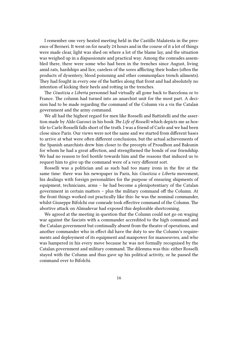I remember one very heated meeting held in the Castillo Malatesta in the presence of Berneri. It went on for nearly 24 hours and in the course of it a lot of things were made clear, light was shed on where a lot of the blame lay, and the situation was weighed up in a dispassionate and practical way. Among the comrades assembled there, there were some who had been in the trenches since August, living amid rats, hardships and lice, careless of the sores afflicting their bodies (often the products of dysentery, blood poisoning and other commonplace trench ailments). They had fought in every one of the battles along that front and had absolutely no intention of kicking their heels and rotting in the trenches.

The *Giustizia e Liberta* personnel had virtually all gone back to Barcelona or to France. The column had turned into an anarchist unit for the most part. A decision had to be made regarding the command of the Column vis a vis the Catalan government and the army command.

We all had the highest regard for men like Rosselli and Battistelli and the assertion made by Aldo Garosci in his book *The Life of Rosselli* which depicts me as hostile to Carlo Rosselli falls short of the truth. I was a friend of Carlo and we had been close since Paris. Our views were not the same and we started from different bases to arrive at what were often different conclusions, but the actual achievements of the Spanish anarchists drew him closer to the precepts of Proudhon and Bakunin for whom he had a great affection, and strengthened the bonds of our friendship. We had no reason to feel hostile towards him and the reasons that induced us to request him to give up the command were of a very different sort.

Rosselli was a politician and as such had too many irons in the fire at the same time: there was his newspaper in Paris, his *Giustizia e Liberta* movement, his dealings with foreign personalities for the purpose of ensuring shipments of equipment, technicians, arms – he had become a plenipotentiary of the Catalan government in certain matters – plus the military command off the Column. At the front things worked out practically like this: he was the nominal commander, whilst Giuseppe Bifolchi our comrade took effective command of the Column. The abortive attack on Almudevar had exposed this deplorable shortcoming.

We agreed at the meeting in question that the Column could not go on waging war against the fascists with a commander accredited to the high command and the Catalan government but continually absent from the theatre of operations, and another commander who in effect did have the duty to see the Column's requirements and deployment of its equipment and manpower for manoeuvres, and who was hampered in his every move because he was not formally recognised by the Catalan government and military command. The dilemma was this: either Rosselli stayed with the Column and thus gave up his political activity, or he passed the command over to Bifolchi.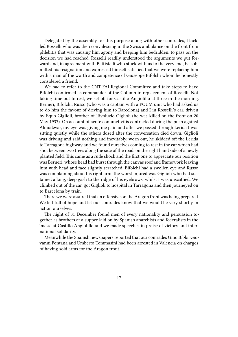Delegated by the assembly for this purpose along with other comrades, I tackled Rosselli who was then convalescing in the Swiss ambulance on the front from phlebitis that was causing him agony and keeping him bedridden, to pass on the decision we had reached. Rosselli readily understood the arguments we put forward and, in agreement with Battistelli who stuck with us to the very end, he submitted his resignation and expressed himself satisfied that we were replacing him with a man of the worth and competence of Giuseppe Bifolchi whom he honestly considered a friend.

We had to refer to the CNT-FAI Regional Committee and take steps to have Bifolchi confirmed as commander of the Column in replacement of Rosselli. Not taking time out to rest, we set off for Castillo Angiolillo at three in the morning. Berneri, Bifolchi, Russo (who was a captain with a POUM unit who had asked us to do him the favour of driving him to Barcelona) and I in Rosselli's car, driven by Equo Giglioli, brother of Rivoluzio Giglioli (he was killed on the front on 20 May 1937). On account of acute conjunctivitis contracted during the push against Almudevar, my eye was giving me pain and after we passed through Lerida I was sitting quietly while the others dozed after the conversation died down. Giglioli was driving and said nothing and inevitably, worn out, he skidded off the Lerida to Tarragona highway and we found ourselves coming to rest in the car which had shot between two trees along the side of the road, on the right hand side of a newly planted field. This came as a rude shock and the first one to appreciate our position was Berneri, whose head had burst through the canvas roof and framework leaving him with head and face slightly scratched. Bifolchi had a swollen eye and Russo was complaining about his right arm: the worst injured was Giglioli who had sustained a long, deep gash to the ridge of his eyebrows, whilst I was unscathed. We climbed out of the car, got Giglioli to hospital in Tarragona and then journeyed on to Barcelona by train.

There we were assured that an offensive on the Aragon front was being prepared. We left full of hope and let our comrades know that we would be very shortly in action ourselves.

The night of 31 December found men of every nationality and persuasion together as brothers at a supper laid on by Spanish anarchists and federalists in the 'mess' at Castillo Angiolillo and we made speeches in praise of victory and international solidarity.

Meanwhile the Spanish newspapers reported that our comrades Gino Bibbi, Giovanni Fontana and Umberto Tommasini had been arrested in Valencia on charges of having sold arms for the Aragon front.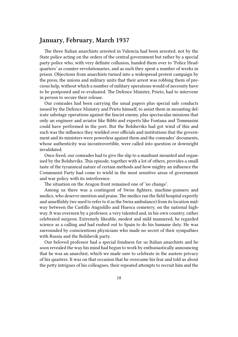#### <span id="page-17-0"></span>**January, February, March 1937**

The three Italian anarchists arrested in Valencia had been arrested, not by the State police acting on the orders of the central government but rather by a special party police who, with very definite collusion, handed them over to 'Police Headquarters' as counter-revolutionaries, and as such they spent a number of weeks in prison. Objections from anarchists turned into a widespread protest campaign by the press, the unions and military units that their arrest was robbing them of precious help, without which a number of military operations would of necessity have to be postponed and re-evaluated. The Defence Minister, Prieto, had to intervene in person to secure their release.

Our comrades had been carrying the usual papers plus special safe conducts issued by the Defence Ministry and Prieto himself, to assist them in mounting delicate sabotage operations against the fascist enemy, plus spectacular missions that only an engineer and aviator like Bibbi and experts like Fontana and Tommasini could have performed in the port. But the Bolsheviks had got wind of this and such was the influence they wielded over officials and institutions that the government and its ministers were powerless against them and the comrades' documents, whose authenticity was incontrovertible, were called into question or downright invalidated.

Once freed, our comrades had to give the slip to a manhunt mounted and organised by the Bolsheviks. This episode, together with a lot of others, provides a small taste of the tyrannical nature of certain methods and how mighty an influence the Communist Party had come to wield in the most sensitive areas of government and war policy with its interference.

The situation on the Aragon front remained one of 'no change'.

Among us there was a contingent of Swiss fighters, machine-gunners and medics, who deserve mention and praise. The medics ran the field hospital expertly and unselfishly (we used to refer to it as the Swiss ambulance) from its location midway between the Castillo Angiolillo and Huesca cemetery, on the national highway. It was overseen by a professor, a very talented and, in his own country, rather celebrated surgeon. Extremely likeable, modest and mild mannered, he regarded science as a calling and had rushed out to Spain to do his humane duty. He was surrounded by conscientious physicians who made no secret of their sympathies with Russia and the Bolshevik party.

Our beloved professor had a special fondness for us Italian anarchists and he soon revealed the way his mind had begun to work by enthusiastically announcing that he was an anarchist, which we made sure to celebrate in the austere privacy of his quarters. It was on that occasion that he overcame his fear and told us about the petty intrigues of his colleagues, their repeated attempts to recruit him and the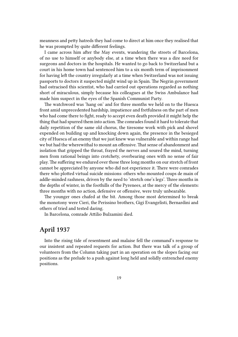meanness and petty hatreds they had come to direct at him once they realised that he was prompted by quite different feelings.

I came across him after the May events, wandering the streets of Barcelona, of no use to himself or anybody else, at a time when there was a dire need for surgeons and doctors in the hospitals. He wanted to go back to Switzerland but a court in his home town had sentenced him to a six month term of imprisonment for having left the country irregularly at a time when Switzerland was not issuing passports to doctors it suspected might wind up in Spain. The Negrin government had ostracised this scientist, who had carried out operations regarded as nothing short of miraculous, simply because his colleagues at the Swiss Ambulance had made him suspect in the eyes of the Spanish Communist Party.

The watchword was 'hang on' and for three months we held on to the Huesca front amid unprecedented hardship, impatience and fretfulness on the part of men who had come there to fight, ready to accept even death provided it might help the thing that had spurred them into action. The comrades found it hard to tolerate that daily repetition of the same old chorus, the tiresome work with pick and shovel expended on building up and knocking down again, the presence in the besieged city of Huesca of an enemy that we just knew was vulnerable and within range had we but had the wherewithal to mount an offensive. That sense of abandonment and isolation that gripped the throat, frayed the nerves and soured the mind, turning men from rational beings into crotchety, overbearing ones with no sense of fair play. The suffering we endured over those three long months on our stretch of front cannot be appreciated by anyone who did not experience it. There were comrades there who plotted virtual suicide missions: others who mounted coups de main of addle-minded rashness, driven by the need to 'stretch one's legs'. Three months in the depths of winter, in the foothills of the Pyrenees, at the mercy of the elements: three months with no action, defensive or offensive, were truly unbearable.

The younger ones chafed at the bit. Among those most determined to break the monotony were Cieri, the Perissino brothers, Gigi Evangelisti, Bernardini and others of tried and tested daring.

In Barcelona, comrade Attilio Bulzamini died.

#### <span id="page-18-0"></span>**April 1937**

Into the rising tide of resentment and malaise fell the command's response to our insistent and repeated requests for action. But there was talk of a group of volunteers from the Column taking part in an operation on the slopes facing our positions as the prelude to a push against long held and solidly entrenched enemy positions.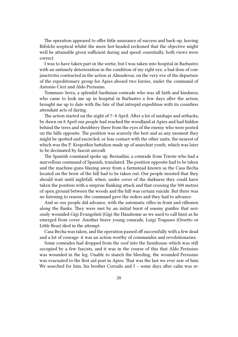The operation appeared to offer little assurance of success and back-up, leaving Bifolchi sceptical whilst the more hot-headed reckoned that the objective might well be attainable given sufficient daring and speed: essentially, both views were correct.

I was to have taken part in the sortie, but I was taken into hospital in Barbastro with an untimely deterioration in the condition of my right eye, a bad dose of conjunctivitis contracted in the action at Almudevar, on the very eve of the departure of the expeditionary group for Apies aboard two lorries, under the command of Antonio Cieri and Aldo Perissino.

Tommaso Serra, a splendid Sardinian comrade who was all faith and kindness, who came to look me up in hospital in Barbastro a few days after the action, brought me up to date with the fate of that intrepid expedition with its countless attendant acts of daring.

The action started on the night of 7–8 April. After a lot of mishaps and setbacks, by dawn on 8 April our people had reached the woodland at Apies and had hidden behind the trees and shrubbery there from the eyes of the enemy who were posted on the hills opposite. The position was scarcely the best and as any moment they might be spotted and encircled, or lose contact with the other units, the nearest of which was the P. Kropotkin battalion made up of anarchist youth, which was later to be decimated by fascist aircraft.

The Spanish command spoke up. Bernadini, a comrade from Trieste who had a marvellous command of Spanish, translated. The position opposite had to be taken and the machine-guns blazing away from a farmstead known as the Casa Becha located on the brow of the hill had to be taken out. Our people insisted that they should wait until nightfall, when, under cover of the darkness they could have taken the position with a surprise flanking attack and that crossing the 500 metres of open ground between the woods and the hill was certain suicide. But there was no listening to reason: the command gave the orders and they had to advance.

And so our people did advance, with the automatic rifles in front and riflemen along the flanks. They were met by an initial burst of enemy gunfire that seriously wounded Gigi Evangelisti (Gigi the Handsome as we used to call him) as he emerged from cover. Another brave young comrade, Luigi Trapasso (Orsetto or Little Bear) died in the attempt.

Casa Becha was taken, and the operation passed off successfully with a few dead and a lot of courage: it was an action worthy of commandos and revolutionaries.

Some comrades had dropped from the roof into the farmhouse which was still occupied by a few fascists, and it was in the course of this that Aldo Perissino was wounded in the leg. Unable to stanch the bleeding, the wounded Perissino was evacuated to the first aid post in Apies. That was the last we ever saw of him. We searched for him, his brother Corrado and  $I$  – some days after calm was re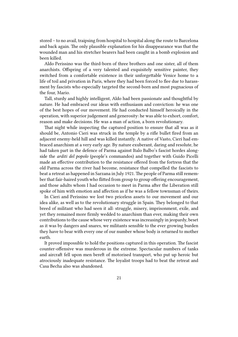stored – to no avail, traipsing from hospital to hospital along the route to Barcelona and back again. The only plausible explanation for his disappearance was that the wounded man and his stretcher bearers had been caught in a bomb explosion and been killed.

Aldo Perissino was the third-born of three brothers and one sister, all of them anarchists. Offspring of a very talented and exquisitely sensitive painter, they switched from a comfortable existence in their unforgettable Venice home to a life of toil and privation in Paris, where they had been forced to flee due to harassment by fascists who especially targeted the second-born and most pugnacious of the four, Mario.

Tall, sturdy and highly intelligent, Aldo had been passionate and thoughtful by nature. He had embraced our ideas with enthusiasm and conviction: he was one of the best hopes of our movement. He had conducted himself heroically in the operation, with superior judgement and generosity: he was able to exhort, comfort, reason and make decisions. He was a man of action, a born revolutionary.

That night while inspecting the captured position to ensure that all was as it should be, Antonio Cieri was struck in the temple by a rifle bullet fired from an adjacent enemy-held hill and was killed instantly. A native of Vasto, Cieri had embraced anarchism at a very early age. By nature exuberant, daring and resolute, he had taken part in the defence of Parma against Italo Balbo's fascist hordes alongside the *arditi del popolo* (people's commandos) and together with Guido Picelli made an effective contribution to the resistance offered from the fortress that the old Parma across the river had become, resistance that compelled the fascists to beat a retreat as happened in Sarzana in July 1921. The people of Parma still remember that fair-haired youth who flitted from group to group offering encouragement, and those adults whom I had occasion to meet in Parma after the Liberation still spoke of him with emotion and affection as if he was a fellow townsman of theirs.

In Cieri and Perissino we lost two priceless assets to our movement and our idea alike, as well as to the revolutionary struggle in Spain. They belonged to that breed of militant who had seen it all: struggle, misery, imprisonment, exile, and yet they remained more firmly wedded to anarchism than ever, making their own contributions to the cause whose very existence was increasingly in jeopardy, beset as it was by dangers and snares, we militants sensible to the ever growing burden they have to bear with every one of our number whose body is returned to mother earth.

It proved impossible to hold the positions captured in this operation. The fascist counter-offensive was murderous in the extreme. Spectacular numbers of tanks and aircraft fell upon men bereft of motorised transport, who put up heroic but atrociously inadequate resistance. The loyalist troops had to beat the retreat and Casa Becha also was abandoned.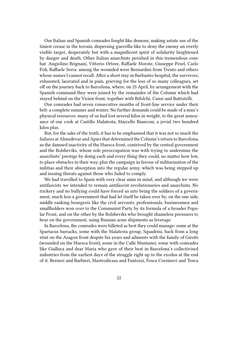Our Italian and Spanish comrades fought like demons, making astute use of the tiniest crease in the terrain, dispersing guerrilla-like to deny the enemy an overly visible target, desperately but with a magnificent spirit of solidarity heightened by danger and death. Other Italian anarchists perished in this tremendous combat: Angiolino Brignani, Vittorio Ortore, Raffaele Morote, Giuseppe Pesel, Carlo Poli, Raffaele Serra: among the wounded were Bernardini from Trento and others whose names I cannot recall. After a short stay in Barbastro hospital, the survivors, exhausted, lacerated and in pain, grieving for the loss of so many colleagues, set off on the journey back to Barcelona, where, on 25 April, by arrangement with the Spanish command they were joined by the remainder of the Column which had stayed behind on the Vicien front, together with Bifolchi, Canzi and Battistelli.

Our comrades had seven consecutive months of front-line service under their belt: a complete summer and winter. No further demands could be made of a man's physical resources: many of us had lost several kilos in weight, to the great annoyance of our cook at Castillo Malatesta, Marcello Bianconi, a jovial two hundred kilos plus.

But, for the sake of the truth, it has to be emphasised that it was not so much the failures at Almudevar and Apies that determined the Column's return to Barcelona, as the damned inactivity of the Huesca front, contrived by the central government and the Bolsheviks, whose sole preoccupation was with trying to undermine the anarchists' prestige by doing each and every thing they could, no matter how low, to place obstacles in their way, plus the campaign in favour of militarisation of the militias and their absorption into the regular army, which was being stepped up and issuing threats against those who failed to comply.

We had travelled to Spain with very clear aims in mind, and although we were antifascists we intended to remain antifascist revolutionaries and anarchists. No trickery and no bullying could have forced us into being the soldiers of a government, much less a government that had let itself be taken over by, on the one side, middle ranking bourgeois like the civil servants, professionals, businessmen and smallholders won over to the Communist Party by its formula of a broader Popular Front, and on the other by the Bolsheviks who brought shameless pressures to bear on the government, using Russian arms shipments as leverage.

In Barcelona, the comrades were billeted as best they could manage: some at the Spartacus barracks, some with the Malatesta group, Squadrini, back from a long stint on the Aragon front despite his years and ailments with the family of Girotti (wounded on the Huesca front), some in the Calle Muntaner, some with comrades like Gialluca and dear Maria who gave of their best in Barcelona's collectivised industries from the earliest days of the struggle right up to the exodus at the end of it. Berneri and Barbieri, Mastrodicasa and Fantozzi, Fosca Corsinovi and Tosca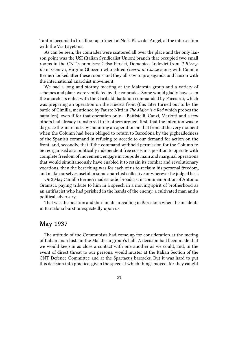Tantini occupied a first floor apartment at No 2, Plaza del Angel, at the intersection with the Via Layetana.

As can be seen, the comrades were scattered all over the place and the only liaison point was the USI (Italian Syndicalist Union) branch that occupied two small rooms in the CNT's premises: Celso Persici, Domenico Ludovici from *Il Risveglio* of Geneva, Virgilio Ghozzoli who edited *Guerra di Classe* along with Camillo Berneri looked after these rooms and they all saw to propaganda and liaison with the international anarchist movement.

We had a long and stormy meeting at the Malatesta group and a variety of schemes and plans were ventilated by the comrades. Some would gladly have seen the anarchists enlist with the Garibaldi battalion commanded by Pacciardi, which was preparing an operation on the Huesca front (this later turned out to be the battle of Cimilla, mentioned by Fausto Nitti in *The Major is a Red* which probes the battalion), even if for that operation only – Battistelli, Canzi, Mariotti and a few others had already transferred to it: others argued, first, that the intention was to disgrace the anarchists by mounting an operation on that front at the very moment when the Column had been obliged to return to Barcelona by the pigheadedness of the Spanish command in refusing to accede to our demand for action on the front, and, secondly, that if the command withheld permission for the Column to be reorganised as a politically independent free corps in a position to operate with complete freedom of movement, engage in coups de main and marginal operations that would simultaneously have enabled it to retain its combat and revolutionary vocations, then the best thing was for each of us to reclaim his personal freedom, and make ourselves useful in some anarchist collective or wherever he judged best.

On 3 May Camillo Berneri made a radio broadcast in commemoration of Antonio Gramsci, paying tribute to him in a speech in a moving spirit of brotherhood as an antifascist who had perished in the hands of the enemy, a cultivated man and a political adversary.

That was the position and the climate prevailing in Barcelona when the incidents in Barcelona burst unexpectedly upon us.

#### <span id="page-22-0"></span>**May 1937**

The attitude of the Communists had come up for consideration at the meting of Italian anarchists in the Malatesta group's hall. A decision had been made that we would keep in as close a contact with one another as we could, and, in the event of direct threat to our persons, would muster at the Italian Section of the CNT Defence Committee and at the Spartacus barracks. But it was hard to put this decision into practice, given the speed at which things moved, for they caught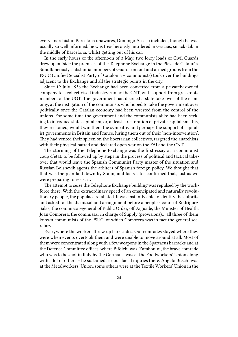every anarchist in Barcelona unawares, Domingo Ascaso included, though he was usually so well informed: he was treacherously murdered in Gracias, smack dab in the middle of Barcelona, whilst getting out of his car.

In the early hours of the afternoon of 3 May, two lorry loads of Civil Guards drew up outside the premises of the Telephone Exchange in the Plaza de Cataluña. Simultaneously, substantial numbers of Guards on foot and armed groups from the PSUC (Unified Socialist Party of Catalonia – communists) took over the buildings adjacent to the Exchange and all the strategic points in the city.

Since 19 July 1936 the Exchange had been converted from a privately owned company to a collectivised industry run by the CNT, with support from grassroots members of the UGT. The government had decreed a state take-over of the economy, at the instigation of the communists who hoped to take the government over politically once the Catalan economy had been wrested from the control of the unions. For some time the government and the communists alike had been seeking to introduce state capitalism, or, at least a restoration of private capitalism: this, they reckoned, would win them the sympathy and perhaps the support of capitalist governments in Britain and France, luring them out of their 'non-intervention'. They had vented their spleen on the libertarian collectives, targeted the anarchists with their physical hatred and declared open war on the FAI and the CNT.

The storming of the Telephone Exchange was the first essay at a communist coup d'etat, to be followed up by steps in the process of political and tactical takeover that would leave the Spanish Communist Party master of the situation and Russian Bolshevik agents the arbiters of Spanish foreign policy. We thought that that was the plan laid down by Stalin, and facts later confirmed that, just as we were preparing to resist it.

The attempt to seize the Telephone Exchange building was repulsed by the workforce there. With the extraordinary speed of an emancipated and naturally revolutionary people, the populace retaliated. It was instantly able to identify the culprits and asked for the dismissal and arraignment before a people's court of Rodriguez Salas, the commissar-general of Public Order, off Aiguade, the Minister of Health, Joan Comorera, the commissar in charge of Supply (provisions)… all three of them known communists of the PSUC, of which Comorera was in fact the general secretary.

Everywhere the workers threw up barricades. Our comrades stayed where they were when events overtook them and were unable to move around at all. Most of them were concentrated along with a few weapons in the Spartacus barracks and at the Defence Committee offices, where Bifolchi was. Zambonini, the brave comrade who was to be shot in Italy by the Germans, was at the Foodworkers' Union along with a lot of others – he sustained serious facial injuries there. Angelo Buschi was at the Metalworkers' Union, some others were at the Textile Workers' Union in the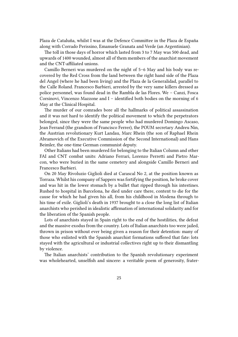Plaza de Cataluña, whilst I was at the Defence Committee in the Plaza de España along with Corrado Perissino, Emanuele Granata and Verde (an Argentinian).

The toll in those days of horror which lasted from 3 to 7 May was 500 dead, and upwards of 1400 wounded, almost all of them members of the anarchist movement and the CNT-affiliated unions.

Camillo Berneri was murdered on the night of 5–6 May and his body was recovered by the Red Cross from the land between the right hand side of the Plaza del Angel (where he had been living) and the Plaza de la Generalidad, parallel to the Calle Roland. Francesco Barbieri, arrested by the very same killers dressed as police personnel, was found dead in the Rambla de las Flores. We – Canzi, Fosca Corsinovi, Vincenzo Mazzone and I – identified both bodies on the morning of 6 May at the Clinical Hospital.

The murder of our comrades bore all the hallmarks of political assassination and it was not hard to identify the political movement to which the perpetrators belonged, since they were the same people who had murdered Domingo Ascaso, Jean Ferrand (the grandson of Francisco Ferrer), the POUM secretary Andreu Nin, the Austrian revolutionary Kurt Landau, Marc Rhein (the son of Raphael Rhein Abramovich of the Executive Commission of the Second International) and Hans Beimler, the one-time German communist deputy.

Other Italians had been murdered for belonging to the Italian Column and other FAI and CNT combat units: Adriano Ferrari, Lorenzo Perretti and Pietro Marcon, who were buried in the same cemetery and alongside Camillo Berneri and Francesco Barbieri.

On 20 May Rivoluzio Giglioli died at Carascal No 2, at the position known as Torraza. Whilst his company of Sappers was fortifying the position, he broke cover and was hit in the lower stomach by a bullet that ripped through his intestines. Rushed to hospital in Barcelona, he died under care there, content to die for the cause for which he had given his all, from his childhood in Modena through to his time of exile. Giglioli's death in 1937 brought to a close the long list of Italian anarchists who perished in idealistic affirmation of international solidarity and for the liberation of the Spanish people.

Lots of anarchists stayed in Spain right to the end of the hostilities, the defeat and the massive exodus from the country. Lots of Italian anarchists too were jailed, thrown in prison without ever being given a reason for their detention: many of those who enlisted with the Spanish anarchist formations suffered that fate: lots stayed with the agricultural or industrial collectives right up to their dismantling by violence.

The Italian anarchists' contribution to the Spanish revolutionary experiment was wholehearted, unselfish and sincere: a veritable poem of generosity, frater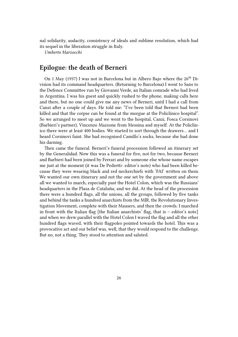nal solidarity, audacity, consistency of ideals and sublime resolution, which had its sequel in the liberation struggle in Italy.

*Umberto Marzocchi*

#### <span id="page-25-0"></span>**Epilogue: the death of Berneri**

On 1 May (1937) I was not in Barcelona but in Albero Bajo where the  $26<sup>th</sup>$  Division had its command headquarters. (Returning to Barcelona) I went to Sans to the Defence Committee run by Giovanni Verde, an Italian comrade who had lived in Argentina. I was his guest and quickly rushed to the phone, making calls here and there, but no one could give me any news of Berneri, until I had a call from Canzi after a couple of days. He told me: "I've been told that Berneri had been killed and that the corpse can be found at the morgue at the Policlinico hospital". So we arranged to meet up and we went to the hospital, Canzi, Fosca Corsinovi (Barbieri's partner), Vincenzo Mazzone from Messina and myself. At the Policlinico there were at least 400 bodies. We started to sort through the drawers… and I heard Corsinovi faint. She had recognised Camillo's socks, because she had done his darning.

Then came the funeral. Berneri's funeral procession followed an itinerary set by the Generalidad. Now this was a funeral for five, not for two, because Berneri and Barbieri had been joined by Ferrari and by someone else whose name escapes me just at the moment (it was De Pedretti- editor's note) who had been killed because they were wearing black and red neckerchiefs with 'FAI' written on them. We wanted our own itinerary and not the one set by the government and above all we wanted to march, especially past the Hotel Colon, which was the Russians' headquarters in the Plaza de Cataluña; and we did. At the head of the procession there were a hundred flags, all the unions, all the groups, followed by five tanks and behind the tanks a hundred anarchists from the MIR, the Revolutionary Investigation Movement, complete with their Mausers, and then the crowds. I marched in front with the Italian flag [the Italian anarchists' flag, that is – editor's note] and when we drew parallel with the Hotel Colon I waved the flag and all the other hundred flags waved, with their flagpoles pointed towards the hotel. This was a provocative act and our belief was, well, that they would respond to the challenge. But no, not a thing. They stood to attention and saluted.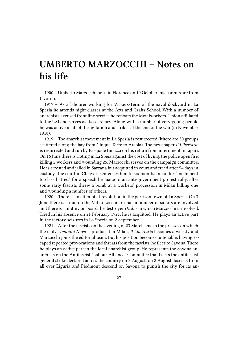## **UMBERTO MARZOCCHI – Notes on his life**

1900 – Umberto Marzocchi born in Florence on 10 October: his parents are from Livorno.

1917 – As a labourer working for Vickers-Terni at the naval dockyard in La Spezia he attends night classes at the Arts and Crafts School. With a number of anarchists excused front line service he refloats the Metalworkers' Union affiliated to the USI and serves as its secretary. Along with a number of very young people he was active in all of the agitation and strikes at the end of the war (in November 1918).

1919 – The anarchist movement in La Spezia is resurrected (ithere are 30 groups scattered along the bay from Cinque Terre to Arcola). The newspaper *Il Libertario* is resurrected and run by Pasquale Binazzi on his return from internment in Lipari. On 16 June there is rioting in La Speia against the cost of living: the police open fire, killing 2 workers and wounding 25. Marzocchi serves on the campaign committee. He is arrested and jailed in Sarzana but acquitted in court and freed after 54 days in custody. The court in Chiavari sentences him to six months in jail for "incitement to class hatred" for a speech he made to an anti-government protest rally, after some early fascists threw a bomb at a workers' procession in Milan killing one and wounding a number of others.

1920 – There is an attempt at revolution in the garrison town of La Spezia. On 3 June there is a raid on the Val di Locchi arsenal; a number of sailors are involved and there is a mutiny on board the destroyer *Duilio*, in which Marzocchi is involved. Tried in his absence on 21 February 1921, he is acquitted. He plays an active part in the factory seizures in La Spezia on 2 September.

1921 – After the fascists on the evening of 23 March smash the presses on which the daily *Umanità Nova* is produced in Milan, *Il Libertario* becomes a weekly and Marzocchi joins the editorial team. But his position becomes untenable: having escaped repeated provocations and threats from the fascists, he flees to Savona. There he plays an active part in the local anarchist group. He represents the Savona anarchists on the Antifascist "Labour Alliance" Committee that backs the antifascist general strike declared across the country on 3 August. on 8 August, fascists from all over Liguria and Piedmont descend on Savona to punish the city for its an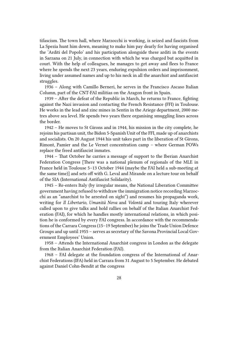tifascism. The town hall, where Marzocchi is working, is seized and fascists from La Spezia hunt him down, meaning to make him pay dearly for having organised the 'Arditi del Popolo' and his participation alongside these arditi in the events in Sarzana on 21 July, in connection with which he was charged but acquitted in court. With the help of colleagues, he manages to get away and flees to France where he spends the next 23 years, enduring expulsion orders and imprisonment, living under assumed names and up to his neck in all the anarchist and antifascist struggles.

1936 – Along with Camillo Berneri, he serves in the Francisco Ascaso Italian Column, part of the CNT-FAI militias on the Aragon front in Spain.

1939 – After the defeat of the Republic in March, he returns to France, fighting against the Nazi invasion and contacting the French Resistance (FFI) in Toulouse. He works in the lead and zinc mines in Sentin in the Ariege department, 2000 metres above sea level. He spends two years there organising smuggling lines across the border.

1942 – He moves to St Girons and in 1944, his mission in the city complete, he rejoins his partisan unit, the Bidon 5-Spanish Unit of the FFI, made up of anarchists and socialists. On 20 August 1944 his unit takes part in the liberation of St Girons, Rimont, Pamier and the Le Vernet concentration camp – where German POWs replace the freed antifascist inmates.

1944 – That October he carries a message of support to the Iberian Anarchist Federation Congress [There was a national plenum of regionals of the MLE in France held in Toulouse 5–13 October 1944 (maybe the FAI held a sub-meeting at the same time)] and sets off with G. Leval and Mirande on a lecture tour on behalf of the SIA (International Antifascist Solidarity).

1945 – Re-enters Italy (by irregular means, the National Liberation Committee government having refused to withdraw the immigration notice recording Marzocchi as an "anarchist to be arrested on sight") and resumes his propaganda work, writing for *Il Libertario*, *Umanità Nova* and *Volontá* and touring Italy wherever called upon to give talks and hold rallies on behalf of the Italian Anarchist Federation (FAI), for which he handles mostly international relations, in which position he is conformed by every FAI congress. In accordance with the recommendations of the Carrara Congress (15–19 September) he joins the Trade Union Defence Groups and up until 1955 – serves as secretary of the Savona Provincial Local Government Employees' Union.

1958 – Attends the International Anarchist congress in London as the delegate from the Italian Anarchist Federation (FAI).

1968 – FAI delegate at the foundation congress of the International of Anarchist Federations (IFA) held in Carrara from 31 August to 5 September. He debated against Daniel Cohn-Bendit at the congress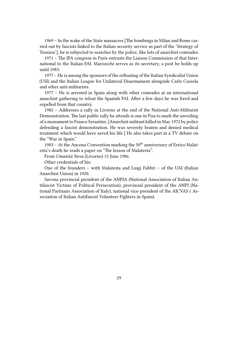1969 – In the wake of the State massacres [The bombings in Milan and Rome carried out by fascists linked to the Italian security service as part of the 'Strategy of Tension'], he is subjected to searches by the police, like lots of anarchist comrades.

1971 – The IFA congress in Paris entrusts the Liaison Commission of that International to the Italian FAI. Marzocchi serves as its secretary, a post he holds up until 1983.

1977 – He is among the sponsors of the refloating of the Italian Syndicalist Union (USI) and the Italian League for Unilateral Disarmament alongside Carlo Cassola and other anti-militarists.

1977 – He is arrested in Spain along with other comrades at an international anarchist gathering to reloat the Spanish FAI. After a few days he was freed and expelled from that country.

1982 – Addresses a rally in Livorno at the end of the National Anti-Militarist Demonstration. The last public rally he attends is one in Pisa to mark the unveiling of a monument to Franco Serantini. [Anarchist militant killed in May 1972 by police defending a fascist demonstration. He was severely beaten and denied medical treatment which would have saved his life.] He also takes part in a TV debate on the "War in Spain."

1983 – At the Ancona Convention marking the  $50<sup>th</sup>$  anniversary of Errico Malatesta's death he reads a paper on "The lesson of Malatesta".

From *Umanità Nova* (Livorno) 15 June 1986.

Other credentials of his:

One of the founders – with Malatesta and Luigi Fabbri – of the UAI (Italian Anarchist Union) in 1920.

Savona provincial president of the ANPIA (National Association of Italian Antifascist Victims of Political Persecution), provincial president of the ANPI (National Partisans Association of Italy), national vice-president of the AICVAS ( Association of Italian Antifascist Volunteer Fighters in Spain).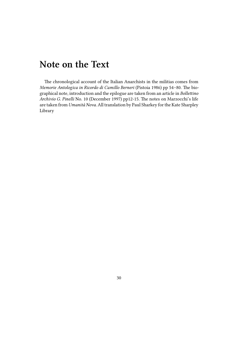## **Note on the Text**

The chronological account of the Italian Anarchists in the militias comes from *Memorie Antologica in Ricordo di Camillo Berneri* (Pistoia 1986) pp 54–80. The biographical note, introduction and the epilogue are taken from an article in *Bollettino Archivio G. Pinelli* No. 10 (December 1997) pp12-15. The notes on Marzocchi's life are taken from *Umanità Nova*. All translation by Paul Sharkey for the Kate Sharpley Library